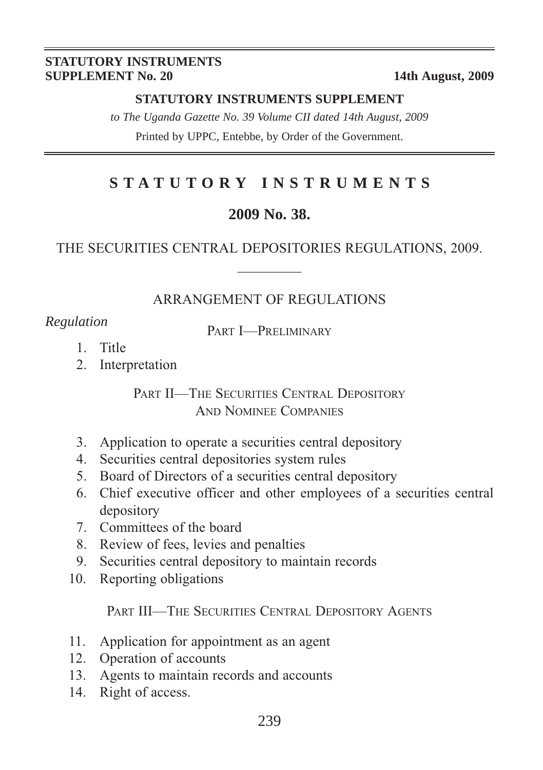#### **STATUTORY INSTRUMENTS SUPPLEMENT No. 20** 14th August, 2009

#### **STATUTORY INSTRUMENTS SUPPLEMENT**

*to The Uganda Gazette No. 39 Volume CII dated 14th August, 2009* Printed by UPPC, Entebbe, by Order of the Government.

# **STATUTORY INSTRUMENTS**

#### **2009 No. 38.**

#### THE SECURITIES CENTRAL DEPOSITORIES REGULATIONS, 2009.  $\overline{\phantom{a}}$

#### ARRANGEMENT OF REGULATIONS

*Regulation* PART **I—PRELIMINARY** 

- 1. Title
- 2. Interpretation

PART II—THE SECURITIES CENTRAL DEPOSITORY AND NOMINEE COMPANIES

- 3. Application to operate a securities central depository
- 4. Securities central depositories system rules
- 5. Board of Directors of a securities central depository
- 6. Chief executive officer and other employees of a securities central depository
- 7. Committees of the board
- 8. Review of fees, levies and penalties
- 9. Securities central depository to maintain records
- 10. Reporting obligations

PART III—THE SECURITIES CENTRAL DEPOSITORY AGENTS

- 11. Application for appointment as an agent
- 12. Operation of accounts
- 13. Agents to maintain records and accounts
- 14. Right of access.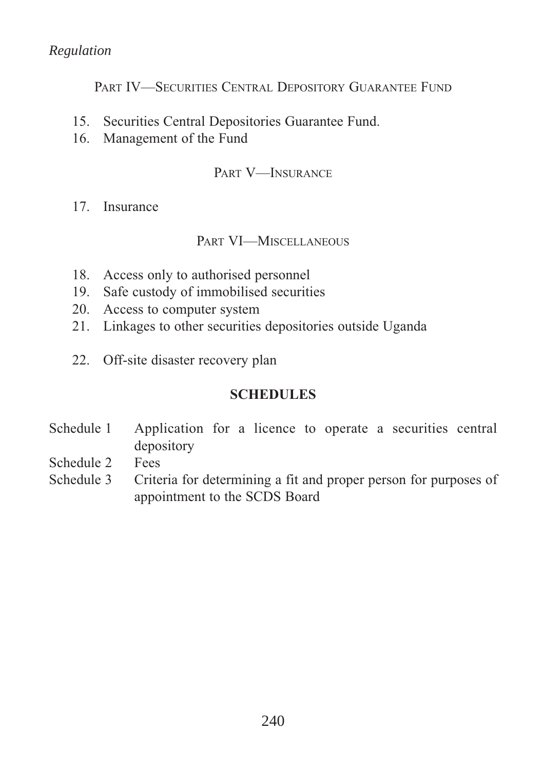PART IV—SECURITIES CENTRAL DEPOSITORY GUARANTEE FUND

- 15. Securities Central Depositories Guarantee Fund.
- 16. Management of the Fund

#### PART V-INSURANCE

17. Insurance

#### PART VI—MISCELLANEOUS

- 18. Access only to authorised personnel
- 19. Safe custody of immobilised securities
- 20. Access to computer system
- 21. Linkages to other securities depositories outside Uganda
- 22. Off-site disaster recovery plan

## **SCHEDULES**

- Schedule 1 Application for a licence to operate a securities central depository
- Schedule 2 Fees
- Schedule 3 Criteria for determining a fit and proper person for purposes of appointment to the SCDS Board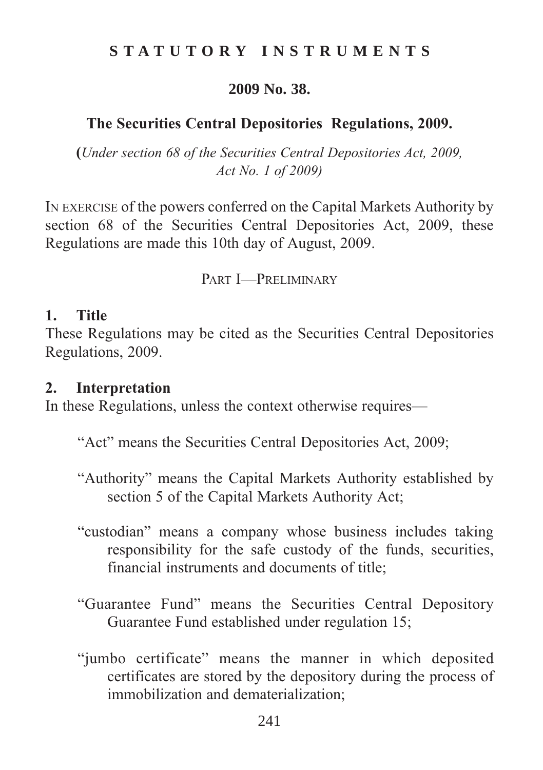## **STATUTORY INSTRUMENTS**

#### **2009 No. 38.**

## **The Securities Central Depositories Regulations, 2009.**

**(***Under section 68 of the Securities Central Depositories Act, 2009, Act No. 1 of 2009)*

IN EXERCISE of the powers conferred on the Capital Markets Authority by section 68 of the Securities Central Depositories Act, 2009, these Regulations are made this 10th day of August, 2009.

PART **I**-PRELIMINARY

#### **1. Title**

These Regulations may be cited as the Securities Central Depositories Regulations, 2009.

#### **2. Interpretation**

In these Regulations, unless the context otherwise requires—

"Act" means the Securities Central Depositories Act, 2009;

- "Authority" means the Capital Markets Authority established by section 5 of the Capital Markets Authority Act;
- "custodian" means a company whose business includes taking responsibility for the safe custody of the funds, securities, financial instruments and documents of title;
- "Guarantee Fund" means the Securities Central Depository Guarantee Fund established under regulation 15;
- "jumbo certificate" means the manner in which deposited certificates are stored by the depository during the process of immobilization and dematerialization;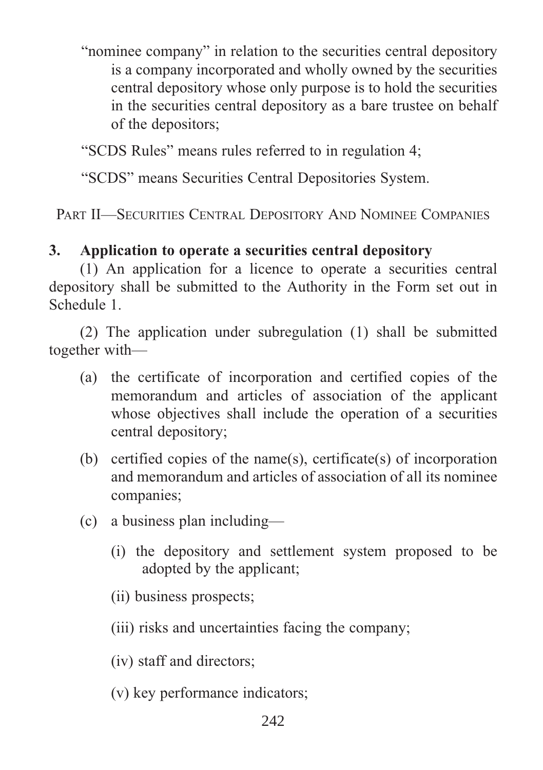"nominee company" in relation to the securities central depository is a company incorporated and wholly owned by the securities central depository whose only purpose is to hold the securities in the securities central depository as a bare trustee on behalf of the depositors;

"SCDS Rules" means rules referred to in regulation 4;

"SCDS" means Securities Central Depositories System.

PART II—SECURITIES CENTRAL DEPOSITORY AND NOMINEE COMPANIES

# **3. Application to operate a securities central depository**

(1) An application for a licence to operate a securities central depository shall be submitted to the Authority in the Form set out in Schedule 1.

(2) The application under subregulation (1) shall be submitted together with—

- (a) the certificate of incorporation and certified copies of the memorandum and articles of association of the applicant whose objectives shall include the operation of a securities central depository;
- (b) certified copies of the name(s), certificate(s) of incorporation and memorandum and articles of association of all its nominee companies;
- (c) a business plan including—
	- (i) the depository and settlement system proposed to be adopted by the applicant;
	- (ii) business prospects;
	- (iii) risks and uncertainties facing the company;
	- (iv) staff and directors;
	- (v) key performance indicators;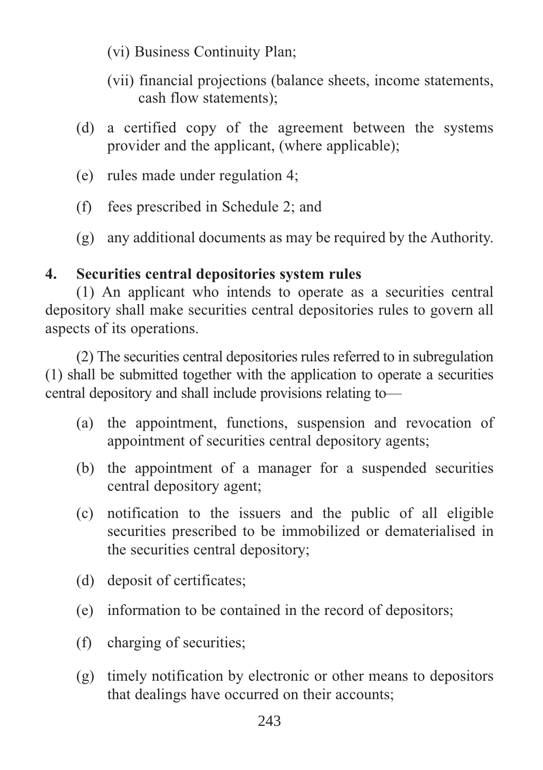- (vi) Business Continuity Plan;
- (vii) financial projections (balance sheets, income statements, cash flow statements);
- (d) a certified copy of the agreement between the systems provider and the applicant, (where applicable);
- (e) rules made under regulation 4;
- (f) fees prescribed in Schedule 2; and
- (g) any additional documents as may be required by the Authority.

# **4. Securities central depositories system rules**

(1) An applicant who intends to operate as a securities central depository shall make securities central depositories rules to govern all aspects of its operations.

(2) The securities central depositories rules referred to in subregulation (1) shall be submitted together with the application to operate a securities central depository and shall include provisions relating to—

- (a) the appointment, functions, suspension and revocation of appointment of securities central depository agents;
- (b) the appointment of a manager for a suspended securities central depository agent;
- (c) notification to the issuers and the public of all eligible securities prescribed to be immobilized or dematerialised in the securities central depository;
- (d) deposit of certificates;
- (e) information to be contained in the record of depositors;
- (f) charging of securities;
- (g) timely notification by electronic or other means to depositors that dealings have occurred on their accounts;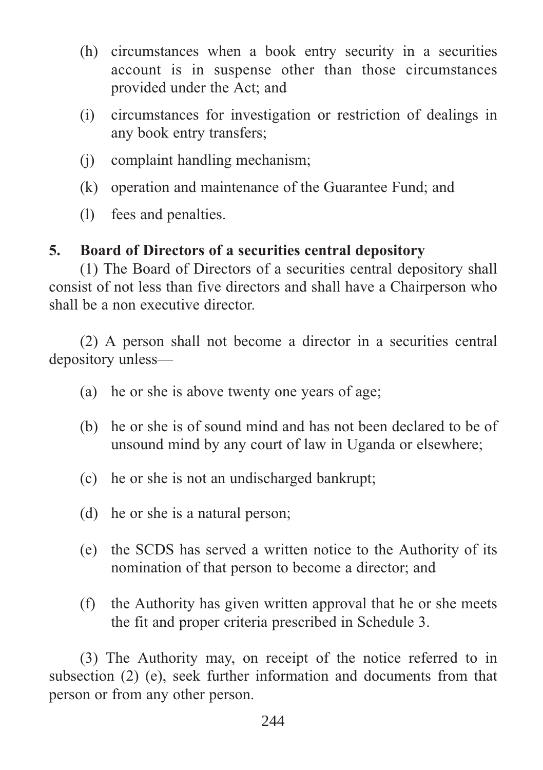- (h) circumstances when a book entry security in a securities account is in suspense other than those circumstances provided under the Act; and
- (i) circumstances for investigation or restriction of dealings in any book entry transfers;
- (j) complaint handling mechanism;
- (k) operation and maintenance of the Guarantee Fund; and
- (l) fees and penalties.

## **5. Board of Directors of a securities central depository**

(1) The Board of Directors of a securities central depository shall consist of not less than five directors and shall have a Chairperson who shall be a non executive director.

(2) A person shall not become a director in a securities central depository unless—

- (a) he or she is above twenty one years of age;
- (b) he or she is of sound mind and has not been declared to be of unsound mind by any court of law in Uganda or elsewhere;
- (c) he or she is not an undischarged bankrupt;
- (d) he or she is a natural person;
- (e) the SCDS has served a written notice to the Authority of its nomination of that person to become a director; and
- (f) the Authority has given written approval that he or she meets the fit and proper criteria prescribed in Schedule 3.

(3) The Authority may, on receipt of the notice referred to in subsection (2) (e), seek further information and documents from that person or from any other person.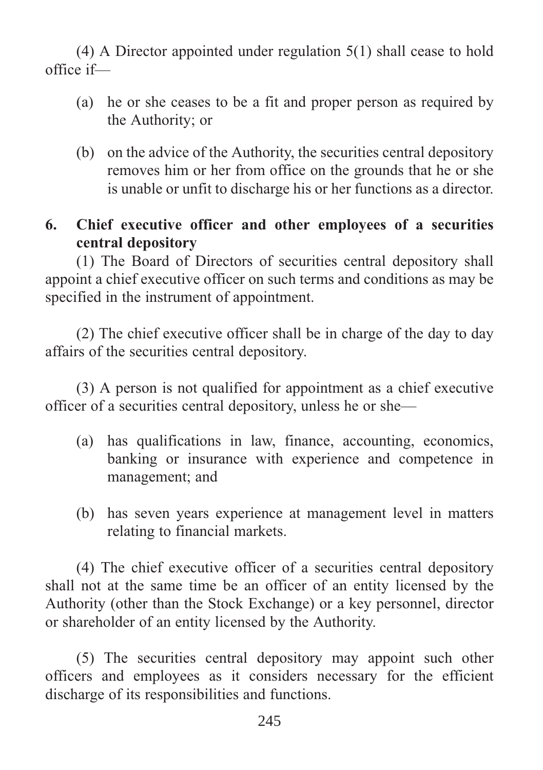(4) A Director appointed under regulation 5(1) shall cease to hold office if—

- (a) he or she ceases to be a fit and proper person as required by the Authority; or
- (b) on the advice of the Authority, the securities central depository removes him or her from office on the grounds that he or she is unable or unfit to discharge his or her functions as a director.
- **6. Chief executive officer and other employees of a securities central depository**

(1) The Board of Directors of securities central depository shall appoint a chief executive officer on such terms and conditions as may be specified in the instrument of appointment.

(2) The chief executive officer shall be in charge of the day to day affairs of the securities central depository.

(3) A person is not qualified for appointment as a chief executive officer of a securities central depository, unless he or she—

- (a) has qualifications in law, finance, accounting, economics, banking or insurance with experience and competence in management; and
- (b) has seven years experience at management level in matters relating to financial markets.

(4) The chief executive officer of a securities central depository shall not at the same time be an officer of an entity licensed by the Authority (other than the Stock Exchange) or a key personnel, director or shareholder of an entity licensed by the Authority.

(5) The securities central depository may appoint such other officers and employees as it considers necessary for the efficient discharge of its responsibilities and functions.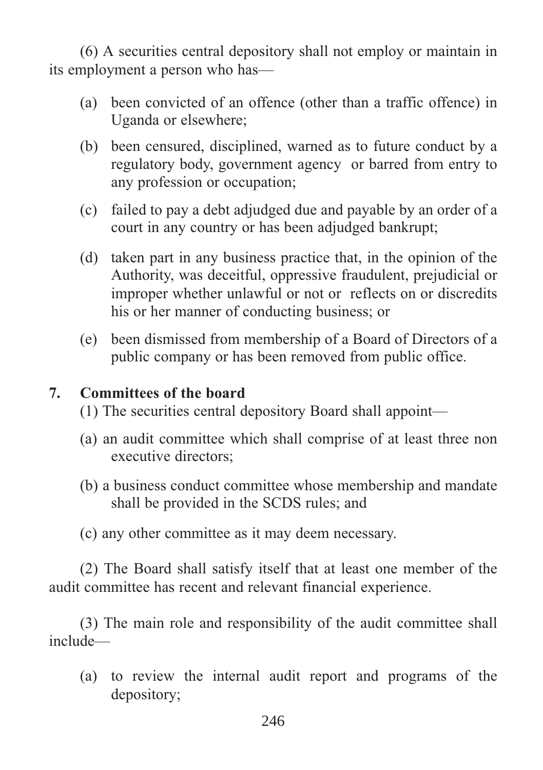(6) A securities central depository shall not employ or maintain in its employment a person who has—

- (a) been convicted of an offence (other than a traffic offence) in Uganda or elsewhere;
- (b) been censured, disciplined, warned as to future conduct by a regulatory body, government agency or barred from entry to any profession or occupation;
- (c) failed to pay a debt adjudged due and payable by an order of a court in any country or has been adjudged bankrupt;
- (d) taken part in any business practice that, in the opinion of the Authority, was deceitful, oppressive fraudulent, prejudicial or improper whether unlawful or not or reflects on or discredits his or her manner of conducting business; or
- (e) been dismissed from membership of a Board of Directors of a public company or has been removed from public office.

# **7. Committees of the board**

- (1) The securities central depository Board shall appoint—
- (a) an audit committee which shall comprise of at least three non executive directors;
- (b) a business conduct committee whose membership and mandate shall be provided in the SCDS rules; and
- (c) any other committee as it may deem necessary.

(2) The Board shall satisfy itself that at least one member of the audit committee has recent and relevant financial experience.

(3) The main role and responsibility of the audit committee shall include—

(a) to review the internal audit report and programs of the depository;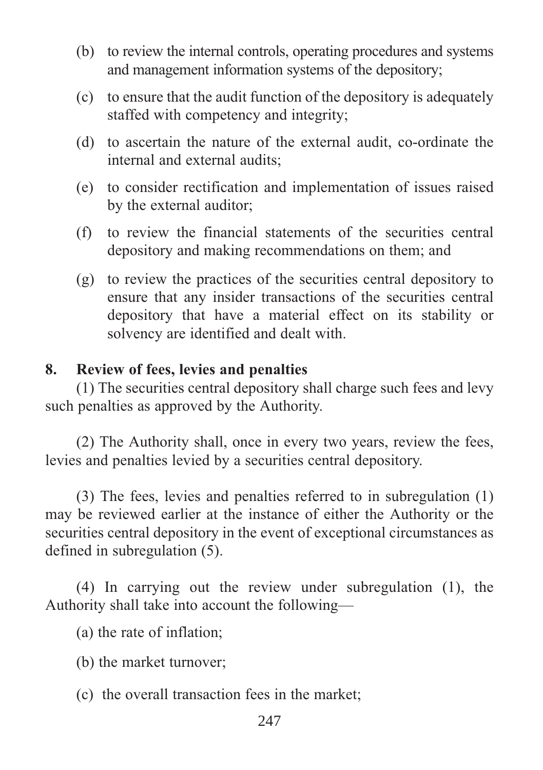- (b) to review the internal controls, operating procedures and systems and management information systems of the depository;
- (c) to ensure that the audit function of the depository is adequately staffed with competency and integrity;
- (d) to ascertain the nature of the external audit, co-ordinate the internal and external audits;
- (e) to consider rectification and implementation of issues raised by the external auditor;
- (f) to review the financial statements of the securities central depository and making recommendations on them; and
- (g) to review the practices of the securities central depository to ensure that any insider transactions of the securities central depository that have a material effect on its stability or solvency are identified and dealt with.

#### **8. Review of fees, levies and penalties**

(1) The securities central depository shall charge such fees and levy such penalties as approved by the Authority.

(2) The Authority shall, once in every two years, review the fees, levies and penalties levied by a securities central depository.

(3) The fees, levies and penalties referred to in subregulation (1) may be reviewed earlier at the instance of either the Authority or the securities central depository in the event of exceptional circumstances as defined in subregulation (5).

(4) In carrying out the review under subregulation (1), the Authority shall take into account the following—

(a) the rate of inflation;

(b) the market turnover;

(c) the overall transaction fees in the market;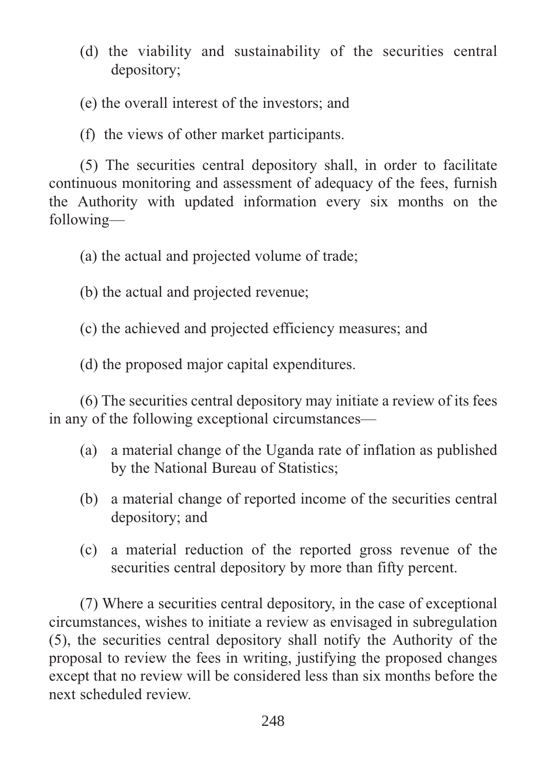(d) the viability and sustainability of the securities central depository;

(e) the overall interest of the investors; and

(f) the views of other market participants.

(5) The securities central depository shall, in order to facilitate continuous monitoring and assessment of adequacy of the fees, furnish the Authority with updated information every six months on the following—

(a) the actual and projected volume of trade;

(b) the actual and projected revenue;

(c) the achieved and projected efficiency measures; and

(d) the proposed major capital expenditures.

(6) The securities central depository may initiate a review of its fees in any of the following exceptional circumstances—

- (a) a material change of the Uganda rate of inflation as published by the National Bureau of Statistics;
- (b) a material change of reported income of the securities central depository; and
- (c) a material reduction of the reported gross revenue of the securities central depository by more than fifty percent.

(7) Where a securities central depository, in the case of exceptional circumstances, wishes to initiate a review as envisaged in subregulation (5), the securities central depository shall notify the Authority of the proposal to review the fees in writing, justifying the proposed changes except that no review will be considered less than six months before the next scheduled review.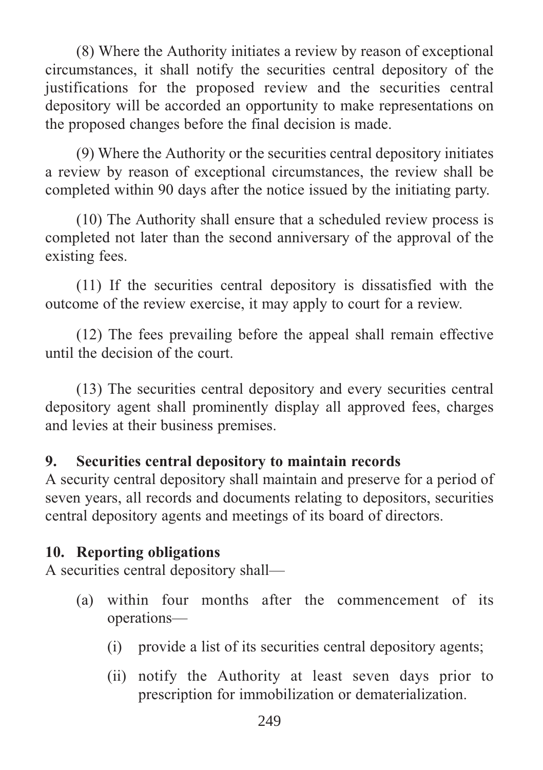(8) Where the Authority initiates a review by reason of exceptional circumstances, it shall notify the securities central depository of the justifications for the proposed review and the securities central depository will be accorded an opportunity to make representations on the proposed changes before the final decision is made.

(9) Where the Authority or the securities central depository initiates a review by reason of exceptional circumstances, the review shall be completed within 90 days after the notice issued by the initiating party.

(10) The Authority shall ensure that a scheduled review process is completed not later than the second anniversary of the approval of the existing fees.

(11) If the securities central depository is dissatisfied with the outcome of the review exercise, it may apply to court for a review.

(12) The fees prevailing before the appeal shall remain effective until the decision of the court.

(13) The securities central depository and every securities central depository agent shall prominently display all approved fees, charges and levies at their business premises.

#### **9. Securities central depository to maintain records**

A security central depository shall maintain and preserve for a period of seven years, all records and documents relating to depositors, securities central depository agents and meetings of its board of directors.

## **10. Reporting obligations**

A securities central depository shall—

- (a) within four months after the commencement of its operations—
	- (i) provide a list of its securities central depository agents;
	- (ii) notify the Authority at least seven days prior to prescription for immobilization or dematerialization.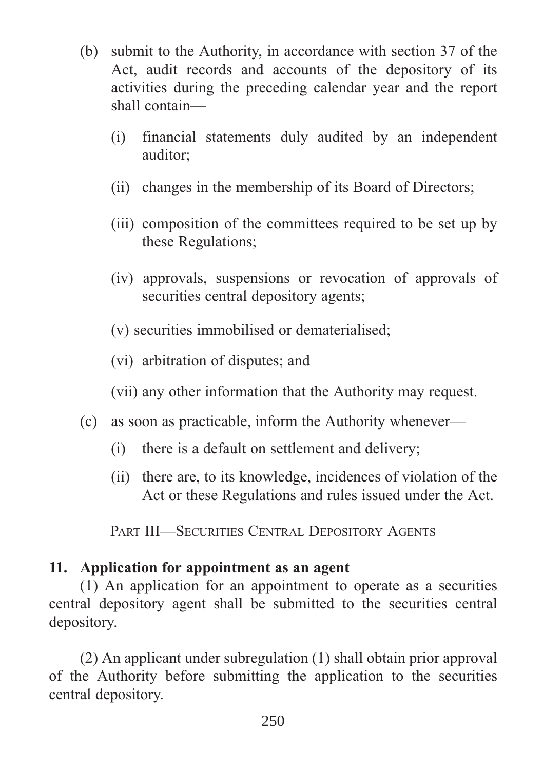- (b) submit to the Authority, in accordance with section 37 of the Act, audit records and accounts of the depository of its activities during the preceding calendar year and the report shall contain—
	- (i) financial statements duly audited by an independent auditor;
	- (ii) changes in the membership of its Board of Directors;
	- (iii) composition of the committees required to be set up by these Regulations;
	- (iv) approvals, suspensions or revocation of approvals of securities central depository agents;
	- (v) securities immobilised or dematerialised;
	- (vi) arbitration of disputes; and
	- (vii) any other information that the Authority may request.
- (c) as soon as practicable, inform the Authority whenever—
	- (i) there is a default on settlement and delivery;
	- (ii) there are, to its knowledge, incidences of violation of the Act or these Regulations and rules issued under the Act.

PART III—SECURITIES CENTRAL DEPOSITORY AGENTS

## **11. Application for appointment as an agent**

(1) An application for an appointment to operate as a securities central depository agent shall be submitted to the securities central depository.

(2) An applicant under subregulation (1) shall obtain prior approval of the Authority before submitting the application to the securities central depository.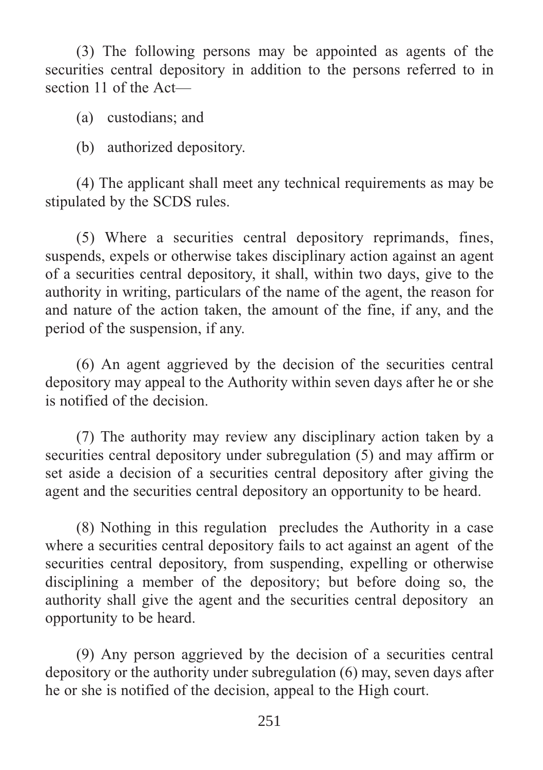(3) The following persons may be appointed as agents of the securities central depository in addition to the persons referred to in section 11 of the Act—

- (a) custodians; and
- (b) authorized depository.

(4) The applicant shall meet any technical requirements as may be stipulated by the SCDS rules.

(5) Where a securities central depository reprimands, fines, suspends, expels or otherwise takes disciplinary action against an agent of a securities central depository, it shall, within two days, give to the authority in writing, particulars of the name of the agent, the reason for and nature of the action taken, the amount of the fine, if any, and the period of the suspension, if any.

(6) An agent aggrieved by the decision of the securities central depository may appeal to the Authority within seven days after he or she is notified of the decision.

(7) The authority may review any disciplinary action taken by a securities central depository under subregulation (5) and may affirm or set aside a decision of a securities central depository after giving the agent and the securities central depository an opportunity to be heard.

(8) Nothing in this regulation precludes the Authority in a case where a securities central depository fails to act against an agent of the securities central depository, from suspending, expelling or otherwise disciplining a member of the depository; but before doing so, the authority shall give the agent and the securities central depository an opportunity to be heard.

(9) Any person aggrieved by the decision of a securities central depository or the authority under subregulation (6) may, seven days after he or she is notified of the decision, appeal to the High court.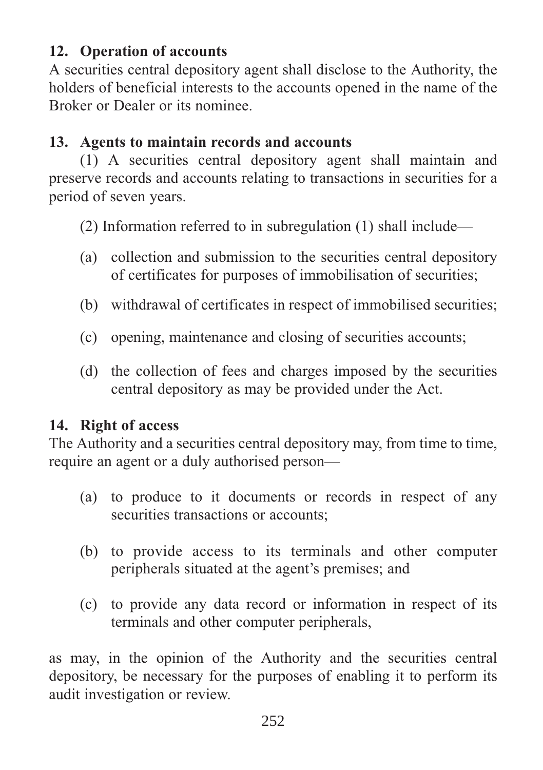# **12. Operation of accounts**

A securities central depository agent shall disclose to the Authority, the holders of beneficial interests to the accounts opened in the name of the Broker or Dealer or its nominee.

# **13. Agents to maintain records and accounts**

(1) A securities central depository agent shall maintain and preserve records and accounts relating to transactions in securities for a period of seven years.

(2) Information referred to in subregulation (1) shall include—

- (a) collection and submission to the securities central depository of certificates for purposes of immobilisation of securities;
- (b) withdrawal of certificates in respect of immobilised securities;
- (c) opening, maintenance and closing of securities accounts;
- (d) the collection of fees and charges imposed by the securities central depository as may be provided under the Act.

# **14. Right of access**

The Authority and a securities central depository may, from time to time, require an agent or a duly authorised person—

- (a) to produce to it documents or records in respect of any securities transactions or accounts:
- (b) to provide access to its terminals and other computer peripherals situated at the agent's premises; and
- (c) to provide any data record or information in respect of its terminals and other computer peripherals,

as may, in the opinion of the Authority and the securities central depository, be necessary for the purposes of enabling it to perform its audit investigation or review.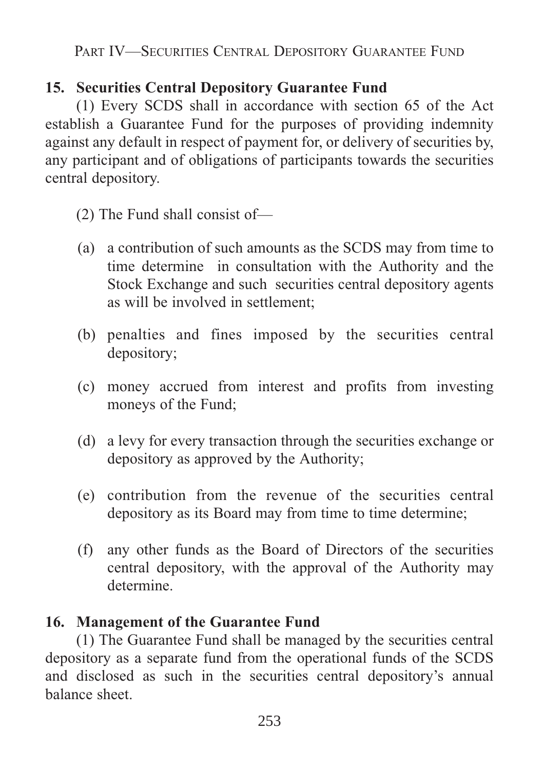PART IV—SECURITIES CENTRAL DEPOSITORY GUARANTEE FUND

# **15. Securities Central Depository Guarantee Fund**

(1) Every SCDS shall in accordance with section 65 of the Act establish a Guarantee Fund for the purposes of providing indemnity against any default in respect of payment for, or delivery of securities by, any participant and of obligations of participants towards the securities central depository.

- (2) The Fund shall consist of—
- (a) a contribution of such amounts as the SCDS may from time to time determine in consultation with the Authority and the Stock Exchange and such securities central depository agents as will be involved in settlement;
- (b) penalties and fines imposed by the securities central depository;
- (c) money accrued from interest and profits from investing moneys of the Fund;
- (d) a levy for every transaction through the securities exchange or depository as approved by the Authority;
- (e) contribution from the revenue of the securities central depository as its Board may from time to time determine;
- (f) any other funds as the Board of Directors of the securities central depository, with the approval of the Authority may determine.

## **16. Management of the Guarantee Fund**

(1) The Guarantee Fund shall be managed by the securities central depository as a separate fund from the operational funds of the SCDS and disclosed as such in the securities central depository's annual balance sheet.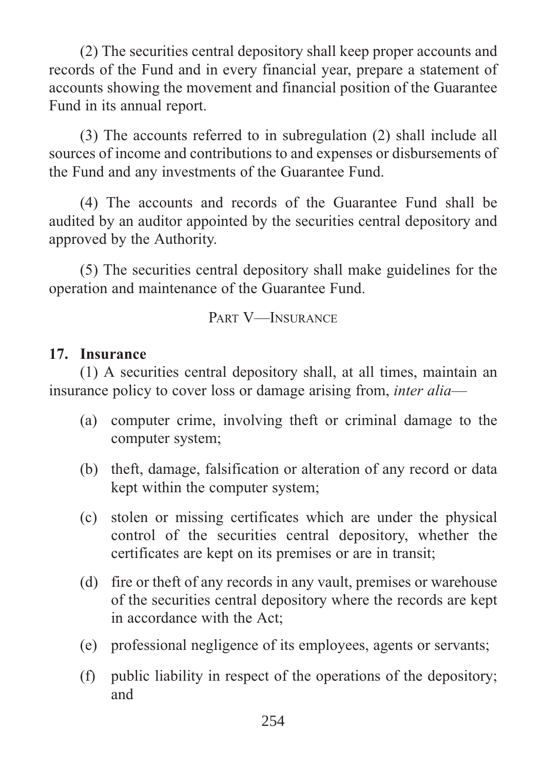(2) The securities central depository shall keep proper accounts and records of the Fund and in every financial year, prepare a statement of accounts showing the movement and financial position of the Guarantee Fund in its annual report.

(3) The accounts referred to in subregulation (2) shall include all sources of income and contributions to and expenses or disbursements of the Fund and any investments of the Guarantee Fund.

(4) The accounts and records of the Guarantee Fund shall be audited by an auditor appointed by the securities central depository and approved by the Authority.

(5) The securities central depository shall make guidelines for the operation and maintenance of the Guarantee Fund.

PART V—INSURANCE

#### **17. Insurance**

(1) A securities central depository shall, at all times, maintain an insurance policy to cover loss or damage arising from, *inter alia*—

- (a) computer crime, involving theft or criminal damage to the computer system;
- (b) theft, damage, falsification or alteration of any record or data kept within the computer system;
- (c) stolen or missing certificates which are under the physical control of the securities central depository, whether the certificates are kept on its premises or are in transit;
- (d) fire or theft of any records in any vault, premises or warehouse of the securities central depository where the records are kept in accordance with the Act;
- (e) professional negligence of its employees, agents or servants;
- (f) public liability in respect of the operations of the depository; and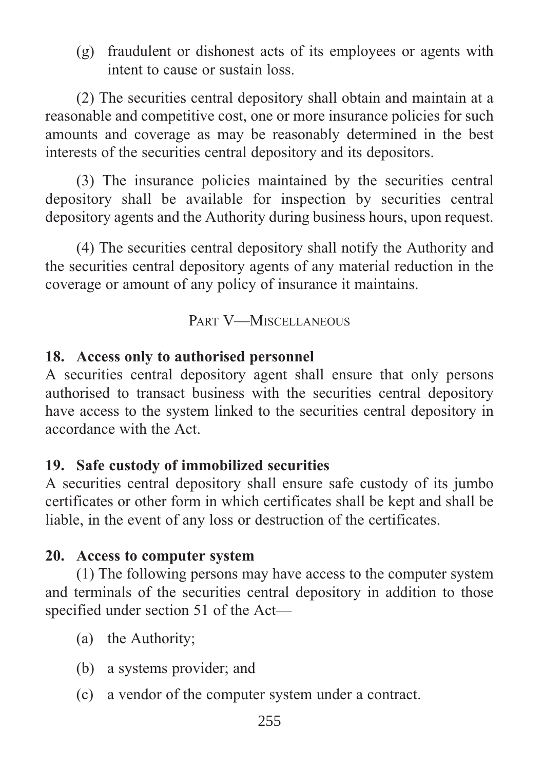(g) fraudulent or dishonest acts of its employees or agents with intent to cause or sustain loss.

(2) The securities central depository shall obtain and maintain at a reasonable and competitive cost, one or more insurance policies for such amounts and coverage as may be reasonably determined in the best interests of the securities central depository and its depositors.

(3) The insurance policies maintained by the securities central depository shall be available for inspection by securities central depository agents and the Authority during business hours, upon request.

(4) The securities central depository shall notify the Authority and the securities central depository agents of any material reduction in the coverage or amount of any policy of insurance it maintains.

PART V-MISCELLANEOUS

## **18. Access only to authorised personnel**

A securities central depository agent shall ensure that only persons authorised to transact business with the securities central depository have access to the system linked to the securities central depository in accordance with the Act.

# **19. Safe custody of immobilized securities**

A securities central depository shall ensure safe custody of its jumbo certificates or other form in which certificates shall be kept and shall be liable, in the event of any loss or destruction of the certificates.

## **20. Access to computer system**

(1) The following persons may have access to the computer system and terminals of the securities central depository in addition to those specified under section 51 of the Act—

- (a) the Authority;
- (b) a systems provider; and
- (c) a vendor of the computer system under a contract.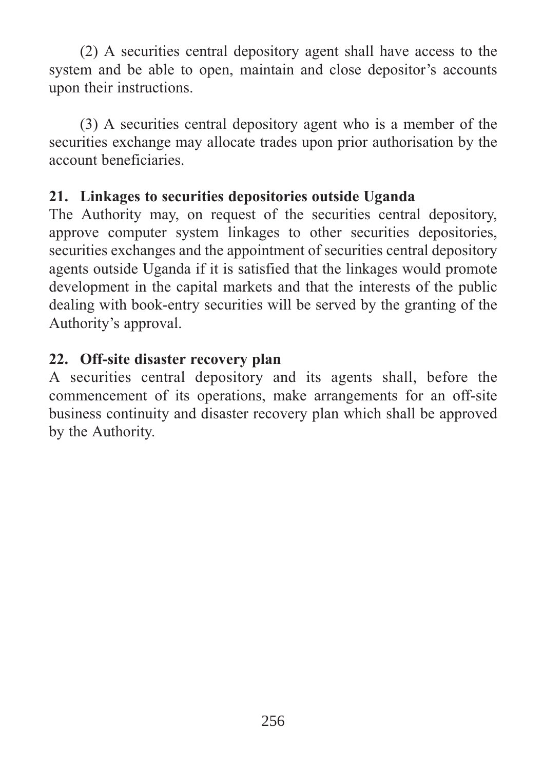(2) A securities central depository agent shall have access to the system and be able to open, maintain and close depositor's accounts upon their instructions.

(3) A securities central depository agent who is a member of the securities exchange may allocate trades upon prior authorisation by the account beneficiaries.

## **21. Linkages to securities depositories outside Uganda**

The Authority may, on request of the securities central depository, approve computer system linkages to other securities depositories, securities exchanges and the appointment of securities central depository agents outside Uganda if it is satisfied that the linkages would promote development in the capital markets and that the interests of the public dealing with book-entry securities will be served by the granting of the Authority's approval.

# **22. Off-site disaster recovery plan**

A securities central depository and its agents shall, before the commencement of its operations, make arrangements for an off-site business continuity and disaster recovery plan which shall be approved by the Authority.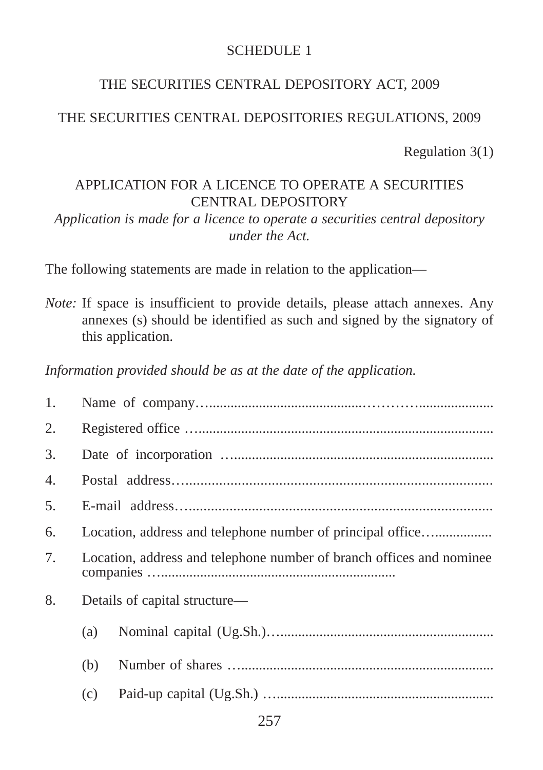#### SCHEDULE 1

#### THE SECURITIES CENTRAL DEPOSITORY ACT, 2009

## THE SECURITIES CENTRAL DEPOSITORIES REGULATIONS, 2009

Regulation 3(1)

## APPLICATION FOR A LICENCE TO OPERATE A SECURITIES CENTRAL DEPOSITORY

*Application is made for a licence to operate a securities central depository under the Act.* 

The following statements are made in relation to the application—

*Note:* If space is insufficient to provide details, please attach annexes. Any annexes (s) should be identified as such and signed by the signatory of this application.

*Information provided should be as at the date of the application.*

| 1. |                                                                      |                               |  |  |  |  |  |
|----|----------------------------------------------------------------------|-------------------------------|--|--|--|--|--|
| 2. |                                                                      |                               |  |  |  |  |  |
| 3. |                                                                      |                               |  |  |  |  |  |
| 4. |                                                                      |                               |  |  |  |  |  |
| 5. |                                                                      |                               |  |  |  |  |  |
| 6. |                                                                      |                               |  |  |  |  |  |
| 7. | Location, address and telephone number of branch offices and nominee |                               |  |  |  |  |  |
| 8. |                                                                      | Details of capital structure— |  |  |  |  |  |
|    | (a)                                                                  |                               |  |  |  |  |  |
|    | (b)                                                                  |                               |  |  |  |  |  |
|    | (c)                                                                  |                               |  |  |  |  |  |
|    |                                                                      |                               |  |  |  |  |  |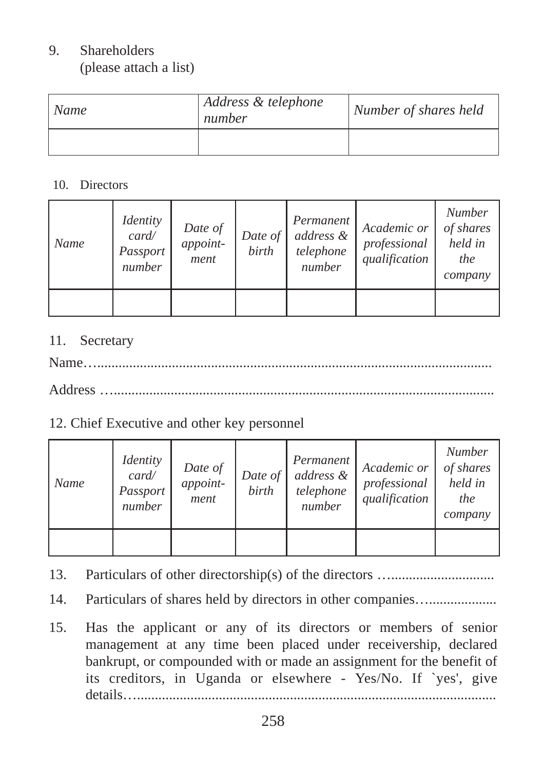# 9. Shareholders

(please attach a list)

| Name | Address & telephone<br>number | Number of shares held |
|------|-------------------------------|-----------------------|
|      |                               |                       |

#### 10. Directors

| Name | <i>Identity</i><br>card/<br>Passport<br>number | Date of<br>appoint-<br>ment | Date of $\vert$<br>birth | Permanent<br>address &<br>telephone<br>number | Academic or<br>professional<br>qualification | <b>Number</b><br>of shares<br>held in<br>the<br>company |
|------|------------------------------------------------|-----------------------------|--------------------------|-----------------------------------------------|----------------------------------------------|---------------------------------------------------------|
|      |                                                |                             |                          |                                               |                                              |                                                         |

#### 11. Secretary

Name…...............................................................................................................

Address …...........................................................................................................

#### 12. Chief Executive and other key personnel

| Name | <i>Identity</i><br>card/<br>Passport<br>number | Date of<br>appoint-<br>ment | Date of<br>birth | Permanent<br>address &<br>telephone<br>number | Academic or<br>professional<br>qualification | <b>Number</b><br>of shares<br>held in<br>the<br>company |
|------|------------------------------------------------|-----------------------------|------------------|-----------------------------------------------|----------------------------------------------|---------------------------------------------------------|
|      |                                                |                             |                  |                                               |                                              |                                                         |

- 13. Particulars of other directorship(s) of the directors ….............................
- 14. Particulars of shares held by directors in other companies…..................
- 15. Has the applicant or any of its directors or members of senior management at any time been placed under receivership, declared bankrupt, or compounded with or made an assignment for the benefit of its creditors, in Uganda or elsewhere - Yes/No. If `yes', give details….....................................................................................................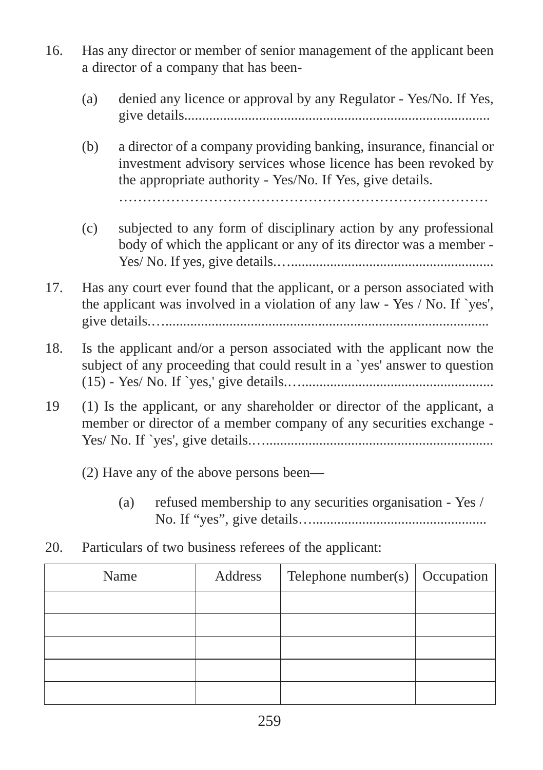- 16. Has any director or member of senior management of the applicant been a director of a company that has been-
	- (a) denied any licence or approval by any Regulator Yes/No. If Yes, give details......................................................................................

(b) a director of a company providing banking, insurance, financial or investment advisory services whose licence has been revoked by the appropriate authority - Yes/No. If Yes, give details.

……………………………………………………………………

- (c) subjected to any form of disciplinary action by any professional body of which the applicant or any of its director was a member - Yes/ No. If yes, give details.….........................................................
- 17. Has any court ever found that the applicant, or a person associated with the applicant was involved in a violation of any law - Yes / No. If `yes', give details.…...........................................................................................
- 18. Is the applicant and/or a person associated with the applicant now the subject of any proceeding that could result in a `yes' answer to question (15) - Yes/ No. If `yes,' give details.…......................................................
- 19 (1) Is the applicant, or any shareholder or director of the applicant, a member or director of a member company of any securities exchange - Yes/ No. If `yes', give details.…................................................................
	- (2) Have any of the above persons been—
		- (a) refused membership to any securities organisation Yes / No. If "yes", give details….................................................
- 20. Particulars of two business referees of the applicant:

| Name | Address | Telephone number(s) $\vert$ Occupation |  |
|------|---------|----------------------------------------|--|
|      |         |                                        |  |
|      |         |                                        |  |
|      |         |                                        |  |
|      |         |                                        |  |
|      |         |                                        |  |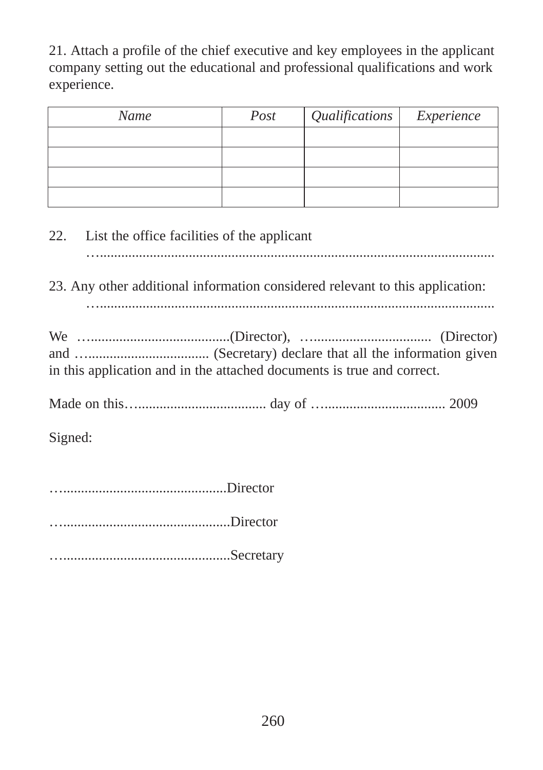21. Attach a profile of the chief executive and key employees in the applicant company setting out the educational and professional qualifications and work experience.

| Name | Post | Qualifications   Experience |  |
|------|------|-----------------------------|--|
|      |      |                             |  |
|      |      |                             |  |
|      |      |                             |  |
|      |      |                             |  |

22. List the office facilities of the applicant

…...............................................................................................................

23. Any other additional information considered relevant to this application:

…...............................................................................................................

We ….......................................(Director), …................................. (Director) and ….................................. (Secretary) declare that all the information given in this application and in the attached documents is true and correct.

Made on this….................................... day of ….................................. 2009

Signed:

…..............................................Director

…...............................................Director

…...............................................Secretary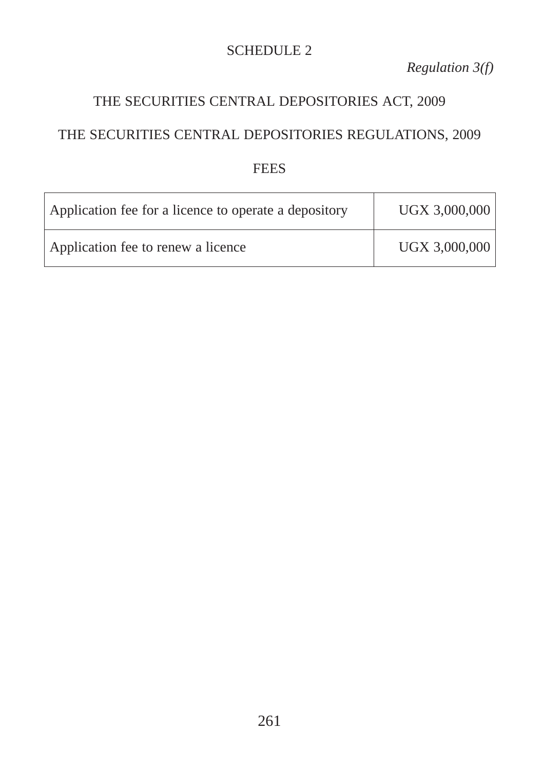#### SCHEDULE 2

*Regulation 3(f)* 

## THE SECURITIES CENTRAL DEPOSITORIES ACT, 2009

#### THE SECURITIES CENTRAL DEPOSITORIES REGULATIONS, 2009

#### **FEES**

| Application fee for a licence to operate a depository | UGX 3,000,000 |
|-------------------------------------------------------|---------------|
| Application fee to renew a licence                    | UGX 3,000,000 |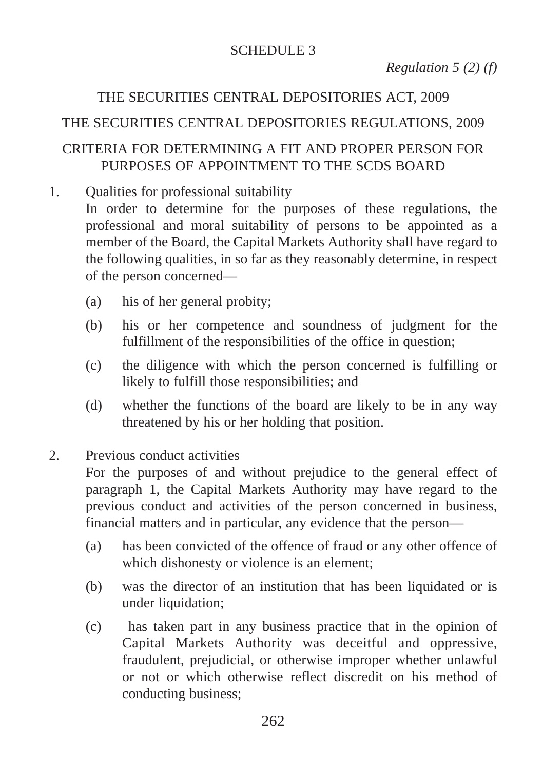#### SCHEDULE 3

*Regulation 5 (2) (f)*

## THE SECURITIES CENTRAL DEPOSITORIES ACT, 2009

## THE SECURITIES CENTRAL DEPOSITORIES REGULATIONS, 2009

#### CRITERIA FOR DETERMINING A FIT AND PROPER PERSON FOR PURPOSES OF APPOINTMENT TO THE SCDS BOARD

1. Qualities for professional suitability

In order to determine for the purposes of these regulations, the professional and moral suitability of persons to be appointed as a member of the Board, the Capital Markets Authority shall have regard to the following qualities, in so far as they reasonably determine, in respect of the person concerned—

- (a) his of her general probity;
- (b) his or her competence and soundness of judgment for the fulfillment of the responsibilities of the office in question;
- (c) the diligence with which the person concerned is fulfilling or likely to fulfill those responsibilities; and
- (d) whether the functions of the board are likely to be in any way threatened by his or her holding that position.
- 2. Previous conduct activities

For the purposes of and without prejudice to the general effect of paragraph 1, the Capital Markets Authority may have regard to the previous conduct and activities of the person concerned in business, financial matters and in particular, any evidence that the person—

- (a) has been convicted of the offence of fraud or any other offence of which dishonesty or violence is an element;
- (b) was the director of an institution that has been liquidated or is under liquidation:
- (c) has taken part in any business practice that in the opinion of Capital Markets Authority was deceitful and oppressive, fraudulent, prejudicial, or otherwise improper whether unlawful or not or which otherwise reflect discredit on his method of conducting business;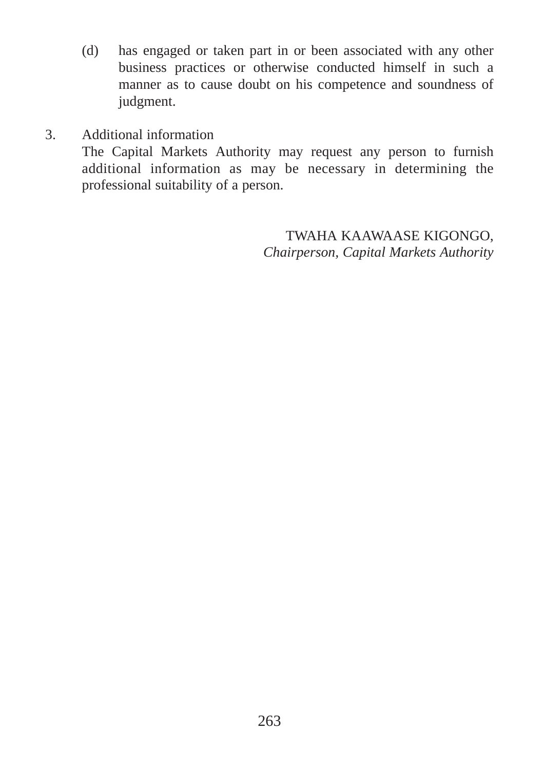- (d) has engaged or taken part in or been associated with any other business practices or otherwise conducted himself in such a manner as to cause doubt on his competence and soundness of judgment.
- 3. Additional information

The Capital Markets Authority may request any person to furnish additional information as may be necessary in determining the professional suitability of a person.

> TWAHA KAAWAASE KIGONGO, *Chairperson, Capital Markets Authority*